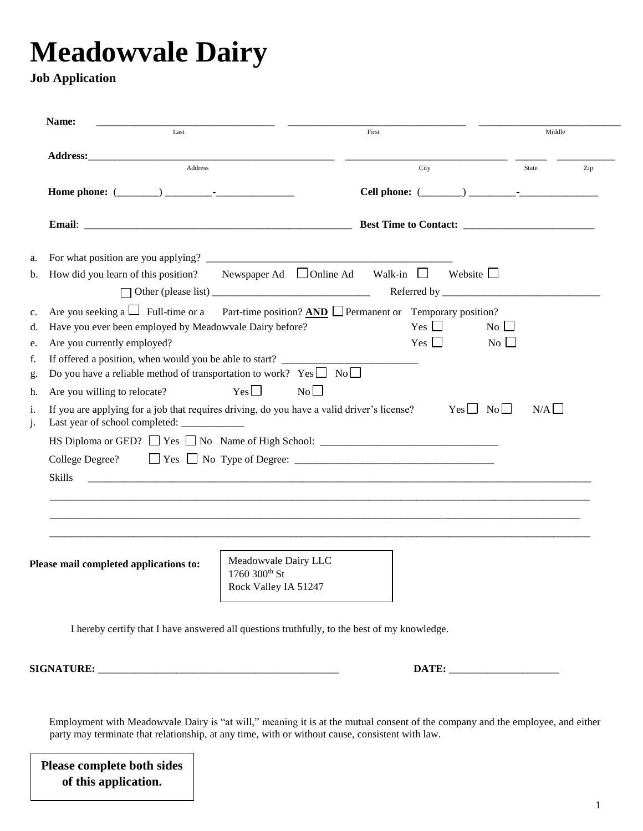## **Meadowvale Dairy**

## **Job Application**

|                      | Name:<br>Last                                                                                                                              |                                       | First |            |                    |                    | Middle |     |
|----------------------|--------------------------------------------------------------------------------------------------------------------------------------------|---------------------------------------|-------|------------|--------------------|--------------------|--------|-----|
|                      |                                                                                                                                            |                                       |       |            |                    |                    |        |     |
|                      | Address                                                                                                                                    |                                       |       | City       |                    |                    | State  | Zip |
|                      |                                                                                                                                            |                                       |       |            |                    |                    |        |     |
|                      |                                                                                                                                            |                                       |       |            |                    |                    |        |     |
| a.                   |                                                                                                                                            |                                       |       |            |                    |                    |        |     |
| b.                   | How did you learn of this position? Newspaper Ad $\Box$ Online Ad Walk-in $\Box$ Website $\Box$                                            |                                       |       |            |                    |                    |        |     |
|                      |                                                                                                                                            |                                       |       |            |                    |                    |        |     |
| c.                   | Are you seeking a $\Box$ Full-time or a Part-time position? AND Permanent or Temporary position?                                           |                                       |       |            |                    |                    |        |     |
| d.                   | Have you ever been employed by Meadowvale Dairy before?                                                                                    |                                       |       | Yes $\Box$ |                    | $\overline{N_{0}}$ |        |     |
| e.                   | Are you currently employed?                                                                                                                |                                       |       | $Yes \Box$ |                    | $\overline{N_{0}}$ |        |     |
| f.                   | If offered a position, when would you be able to start?                                                                                    |                                       |       |            |                    |                    |        |     |
|                      | Do you have a reliable method of transportation to work? $Yes \Box No \Box$                                                                |                                       |       |            |                    |                    |        |     |
|                      |                                                                                                                                            |                                       |       |            |                    |                    |        |     |
|                      | Are you willing to relocate?                                                                                                               | $Yes \Box$<br>No                      |       |            |                    |                    |        |     |
|                      | If you are applying for a job that requires driving, do you have a valid driver's license?<br>Last year of school completed: _____________ |                                       |       |            | $Yes \Box No \Box$ |                    | N/A    |     |
|                      | HS Diploma or GED? Tes No Name of High School: __________________________________                                                          |                                       |       |            |                    |                    |        |     |
|                      | College Degree? $\Box$ Yes $\Box$ No Type of Degree: $\Box$ $\Box$ $\Box$ $\Box$ $\Box$                                                    |                                       |       |            |                    |                    |        |     |
|                      | <b>Skills</b>                                                                                                                              |                                       |       |            |                    |                    |        |     |
|                      |                                                                                                                                            |                                       |       |            |                    |                    |        |     |
|                      |                                                                                                                                            |                                       |       |            |                    |                    |        |     |
|                      |                                                                                                                                            |                                       |       |            |                    |                    |        |     |
| g.<br>h.<br>i.<br>j. |                                                                                                                                            |                                       |       |            |                    |                    |        |     |
|                      |                                                                                                                                            | Meadowvale Dairy LLC                  |       |            |                    |                    |        |     |
|                      | Please mail completed applications to:                                                                                                     | 1760 300th St<br>Rock Valley IA 51247 |       |            |                    |                    |        |     |

Employment with Meadowvale Dairy is "at will," meaning it is at the mutual consent of the company and the employee, and either party may terminate that relationship, at any time, with or without cause, consistent with law.

**Please complete both sides of this application.**